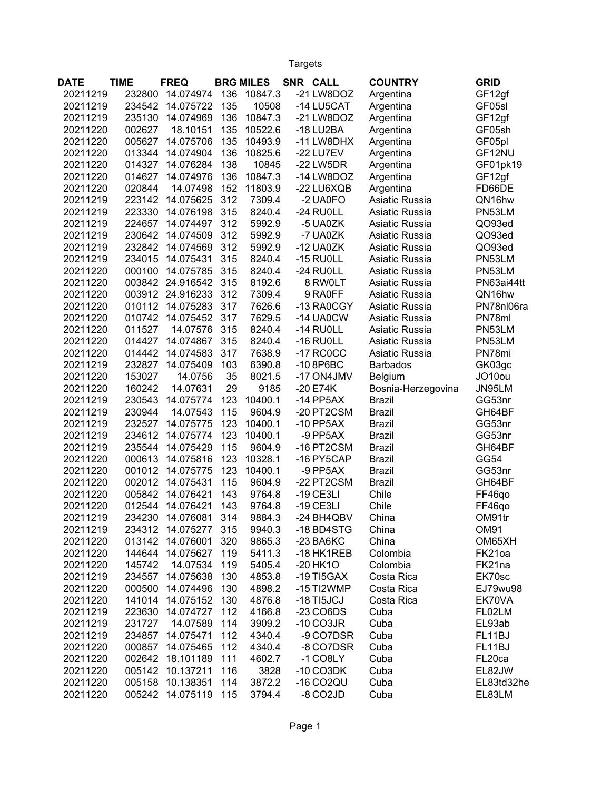Targets

| <b>DATE</b> | <b>TIME</b> | <b>FREQ</b>      |     | <b>BRG MILES</b> | SNR CALL                 | <b>COUNTRY</b>     | <b>GRID</b> |
|-------------|-------------|------------------|-----|------------------|--------------------------|--------------------|-------------|
| 20211219    | 232800      | 14.074974        | 136 | 10847.3          | -21 LW8DOZ               | Argentina          | GF12gf      |
| 20211219    | 234542      | 14.075722        | 135 | 10508            | -14 LU5CAT               | Argentina          | GF05sl      |
| 20211219    | 235130      | 14.074969        | 136 | 10847.3          | -21 LW8DOZ               | Argentina          | GF12gf      |
| 20211220    | 002627      | 18.10151         | 135 | 10522.6          | $-18$ LU2BA              | Argentina          | GF05sh      |
| 20211220    | 005627      | 14.075706        | 135 | 10493.9          | -11 LW8DHX               | Argentina          | GF05pl      |
| 20211220    | 013344      | 14.074904        | 136 | 10825.6          | -22 LU7EV                | Argentina          | GF12NU      |
| 20211220    | 014327      | 14.076284        | 138 | 10845            | -22 LW5DR                | Argentina          | GF01pk19    |
| 20211220    | 014627      | 14.074976        | 136 | 10847.3          | -14 LW8DOZ               | Argentina          | GF12gf      |
| 20211220    | 020844      | 14.07498         | 152 | 11803.9          | -22 LU6XQB               | Argentina          | FD66DE      |
| 20211219    | 223142      | 14.075625        | 312 | 7309.4           | -2 UA0FO                 | Asiatic Russia     | QN16hw      |
| 20211219    | 223330      | 14.076198        | 315 | 8240.4           | -24 RU0LL                | Asiatic Russia     | PN53LM      |
| 20211219    | 224657      | 14.074497        | 312 | 5992.9           | -5 UA0ZK                 | Asiatic Russia     | QO93ed      |
| 20211219    | 230642      | 14.074509        | 312 | 5992.9           | -7 UA0ZK                 | Asiatic Russia     | QO93ed      |
| 20211219    | 232842      | 14.074569        | 312 | 5992.9           | $-12$ UA0ZK              | Asiatic Russia     | QO93ed      |
| 20211219    | 234015      | 14.075431        | 315 | 8240.4           | $-15$ RU0LL              | Asiatic Russia     | PN53LM      |
| 20211220    | 000100      | 14.075785        | 315 | 8240.4           | -24 RUOLL                | Asiatic Russia     | PN53LM      |
| 20211220    | 003842      | 24.916542        | 315 | 8192.6           | 8 RW0LT                  | Asiatic Russia     | PN63ai44tt  |
| 20211220    |             | 003912 24.916233 | 312 | 7309.4           | 9 RAOFF                  | Asiatic Russia     | QN16hw      |
| 20211220    | 010112      | 14.075283        | 317 | 7626.6           | -13 RA0CGY               | Asiatic Russia     | PN78nl06ra  |
| 20211220    | 010742      | 14.075452        | 317 | 7629.5           | -14 UA0CW                | Asiatic Russia     | PN78ml      |
| 20211220    | 011527      | 14.07576         | 315 | 8240.4           | $-14$ RU0LL              | Asiatic Russia     | PN53LM      |
| 20211220    | 014427      | 14.074867        | 315 | 8240.4           | $-16$ RU0LL              | Asiatic Russia     | PN53LM      |
| 20211220    | 014442      | 14.074583        | 317 | 7638.9           | $-17$ RC0CC              | Asiatic Russia     | PN78mi      |
| 20211219    | 232827      | 14.075409        | 103 | 6390.8           | $-108P6BC$               | <b>Barbados</b>    | GK03gc      |
| 20211220    | 153027      | 14.0756          | 35  | 8021.5           | -17 ON4JMV               | Belgium            | JO10ou      |
| 20211220    | 160242      | 14.07631         | 29  | 9185             | $-20E74K$                | Bosnia-Herzegovina | JN95LM      |
| 20211219    | 230543      | 14.075774        | 123 | 10400.1          | $-14$ PP5AX              | <b>Brazil</b>      | GG53nr      |
| 20211219    | 230944      | 14.07543         | 115 | 9604.9           | -20 PT2CSM               | <b>Brazil</b>      | GH64BF      |
| 20211219    | 232527      | 14.075775        | 123 | 10400.1          | $-10$ PP5AX              | <b>Brazil</b>      | GG53nr      |
| 20211219    | 234612      | 14.075774        | 123 | 10400.1          | -9 PP5AX                 | <b>Brazil</b>      | GG53nr      |
| 20211219    | 235544      | 14.075429        | 115 | 9604.9           | -16 PT2CSM               | <b>Brazil</b>      | GH64BF      |
| 20211220    | 000613      | 14.075816        | 123 | 10328.1          | -16 PY5CAP               | <b>Brazil</b>      | GG54        |
| 20211220    | 001012      | 14.075775        | 123 | 10400.1          | -9 PP5AX                 | <b>Brazil</b>      | GG53nr      |
| 20211220    | 002012      | 14.075431        | 115 | 9604.9           | -22 PT2CSM               | <b>Brazil</b>      | GH64BF      |
| 20211220    | 005842      | 14.076421        | 143 | 9764.8           | $-19$ CE3LI              | Chile              | FF46qo      |
| 20211220    | 012544      | 14.076421        | 143 | 9764.8           | $-19$ CE3LI              | Chile              | FF46qo      |
| 20211219    | 234230      | 14.076081        | 314 | 9884.3           | -24 BH4QBV               | China              | OM91tr      |
| 20211219    | 234312      | 14.075277        | 315 | 9940.3           | -18 BD4STG               | China              | <b>OM91</b> |
| 20211220    | 013142      | 14.076001        | 320 | 9865.3           | $-23$ BA6KC              | China              | OM65XH      |
| 20211220    | 144644      | 14.075627        | 119 | 5411.3           | -18 HK1REB               | Colombia           | FK21oa      |
| 20211220    | 145742      | 14.07534         | 119 | 5405.4           | $-20$ HK1O               | Colombia           | FK21na      |
| 20211219    | 234557      | 14.075638        | 130 | 4853.8           | $-19$ TI5GAX             | Costa Rica         | EK70sc      |
| 20211220    | 000500      | 14.074496        | 130 | 4898.2           | -15 TI2WMP               | Costa Rica         | EJ79wu98    |
| 20211220    | 141014      | 14.075152        | 130 | 4876.8           | $-18$ TI5JCJ             | Costa Rica         | EK70VA      |
| 20211219    | 223630      | 14.074727        | 112 | 4166.8           | $-23$ CO6DS              | Cuba               | FL02LM      |
| 20211219    | 231727      | 14.07589         | 114 | 3909.2           | $-10$ CO3JR              | Cuba               | EL93ab      |
| 20211219    | 234857      | 14.075471        | 112 | 4340.4           | -9 CO7DSR                | Cuba               | FL11BJ      |
| 20211220    | 000857      | 14.075465        | 112 | 4340.4           | -8 CO7DSR                | Cuba               | FL11BJ      |
| 20211220    | 002642      | 18.101189        | 111 | 4602.7           | $-1$ CO8LY               | Cuba               | FL20ca      |
| 20211220    | 005142      | 10.137211        | 116 | 3828             | $-10$ CO3DK              | Cuba               | EL82JW      |
| 20211220    | 005158      | 10.138351        | 114 | 3872.2           | $-16$ CO <sub>2</sub> QU | Cuba               | EL83td32he  |
| 20211220    |             | 005242 14.075119 | 115 | 3794.4           | -8 CO2JD                 | Cuba               | EL83LM      |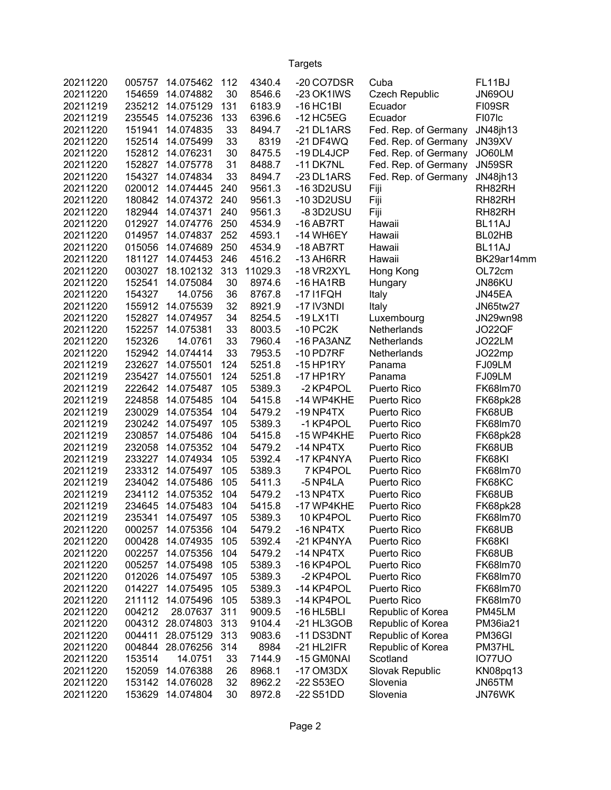## Targets

| 20211220 | 005757 | 14.075462 | 112 | 4340.4  | -20 CO7DSR              | Cuba                  | FL11BJ             |
|----------|--------|-----------|-----|---------|-------------------------|-----------------------|--------------------|
| 20211220 | 154659 | 14.074882 | 30  | 8546.6  | -23 OK1IWS              | <b>Czech Republic</b> | JN69OU             |
| 20211219 | 235212 | 14.075129 | 131 | 6183.9  | $-16$ HC1BI             | Ecuador               | FI09SR             |
| 20211219 | 235545 | 14.075236 | 133 | 6396.6  | $-12$ HC5EG             | Ecuador               | FI07 <sub>Ic</sub> |
| 20211220 | 151941 | 14.074835 | 33  | 8494.7  | -21 DL1ARS              | Fed. Rep. of Germany  | JN48jh13           |
| 20211220 | 152514 | 14.075499 | 33  | 8319    | $-21$ DF4WQ             | Fed. Rep. of Germany  | JN39XV             |
| 20211220 | 152812 | 14.076231 | 30  | 8475.5  | -19 DL4JCP              | Fed. Rep. of Germany  | JO60LM             |
| 20211220 | 152827 | 14.075778 | 31  | 8488.7  | -11 DK7NL               | Fed. Rep. of Germany  | JN59SR             |
| 20211220 | 154327 | 14.074834 | 33  | 8494.7  | -23 DL1ARS              | Fed. Rep. of Germany  | JN48jh13           |
| 20211220 | 020012 | 14.074445 | 240 | 9561.3  | -16 3D2USU              | Fiji                  | RH82RH             |
| 20211220 | 180842 | 14.074372 | 240 | 9561.3  | -103D2USU               | Fiji                  | RH82RH             |
| 20211220 | 182944 | 14.074371 | 240 | 9561.3  | -83D2USU                | Fiji                  | RH82RH             |
| 20211220 | 012927 | 14.074776 | 250 | 4534.9  | $-16$ AB7RT             | Hawaii                | BL11AJ             |
| 20211220 | 014957 | 14.074837 | 252 | 4593.1  | -14 WH6EY               | Hawaii                | BL02HB             |
| 20211220 | 015056 | 14.074689 | 250 | 4534.9  | $-18$ AB7RT             | Hawaii                | BL11AJ             |
| 20211220 | 181127 | 14.074453 | 246 | 4516.2  | $-13$ AH6RR             | Hawaii                | BK29ar14mm         |
| 20211220 | 003027 | 18.102132 | 313 | 11029.3 | -18 VR2XYL              | Hong Kong             | OL72cm             |
| 20211220 | 152541 | 14.075084 | 30  | 8974.6  | $-16$ HA1RB             | Hungary               | JN86KU             |
| 20211220 | 154327 | 14.0756   | 36  | 8767.8  | $-17$ $11$ $FQH$        | Italy                 | JN45EA             |
| 20211220 | 155912 | 14.075539 | 32  | 8921.9  | -17 IV3NDI              | Italy                 | <b>JN65tw27</b>    |
| 20211220 | 152827 | 14.074957 | 34  | 8254.5  | $-19$ LX1TI             | Luxembourg            | JN29wn98           |
| 20211220 | 152257 | 14.075381 | 33  | 8003.5  | $-10$ PC <sub>2</sub> K | Netherlands           | JO22QF             |
| 20211220 | 152326 | 14.0761   | 33  | 7960.4  | -16 PA3ANZ              | Netherlands           | JO22LM             |
| 20211220 | 152942 | 14.074414 | 33  | 7953.5  | $-10$ PD7RF             | Netherlands           | JO22mp             |
| 20211219 | 232627 | 14.075501 | 124 | 5251.8  | $-15$ HP1RY             | Panama                | FJ09LM             |
| 20211219 | 235427 | 14.075501 | 124 | 5251.8  | $-17$ HP1RY             | Panama                | FJ09LM             |
| 20211219 | 222642 | 14.075487 | 105 | 5389.3  | -2 KP4POL               | <b>Puerto Rico</b>    | FK68Im70           |
| 20211219 | 224858 | 14.075485 | 104 | 5415.8  | -14 WP4KHE              | Puerto Rico           | FK68pk28           |
| 20211219 | 230029 | 14.075354 | 104 | 5479.2  | $-19$ NP4TX             | <b>Puerto Rico</b>    | FK68UB             |
| 20211219 | 230242 | 14.075497 | 105 | 5389.3  | -1 KP4POL               | <b>Puerto Rico</b>    | FK68Im70           |
| 20211219 | 230857 | 14.075486 | 104 | 5415.8  | -15 WP4KHE              | <b>Puerto Rico</b>    | FK68pk28           |
| 20211219 | 232058 | 14.075352 | 104 | 5479.2  | $-14$ NP4TX             | Puerto Rico           | FK68UB             |
| 20211219 | 233227 | 14.074934 | 105 | 5392.4  | -17 KP4NYA              | <b>Puerto Rico</b>    | FK68KI             |
| 20211219 | 233312 | 14.075497 | 105 | 5389.3  | 7 KP4POL                | <b>Puerto Rico</b>    | FK68lm70           |
| 20211219 | 234042 | 14.075486 | 105 | 5411.3  | -5 NP4LA                | Puerto Rico           | FK68KC             |
| 20211219 | 234112 | 14.075352 | 104 | 5479.2  | $-13$ NP4TX             | <b>Puerto Rico</b>    | FK68UB             |
| 20211219 | 234645 | 14.075483 | 104 | 5415.8  | -17 WP4KHE              | Puerto Rico           | <b>FK68pk28</b>    |
| 20211219 | 235341 | 14.075497 | 105 | 5389.3  | 10 KP4POL               | Puerto Rico           | FK68lm70           |
| 20211220 | 000257 | 14.075356 | 104 | 5479.2  | $-16$ NP4TX             | Puerto Rico           | FK68UB             |
| 20211220 | 000428 | 14.074935 | 105 | 5392.4  | -21 KP4NYA              | Puerto Rico           | FK68KI             |
| 20211220 | 002257 | 14.075356 | 104 | 5479.2  | $-14$ NP4TX             | Puerto Rico           | FK68UB             |
| 20211220 | 005257 | 14.075498 | 105 | 5389.3  | -16 KP4POL              | Puerto Rico           | FK68Im70           |
| 20211220 | 012026 | 14.075497 | 105 | 5389.3  | -2 KP4POL               | Puerto Rico           | FK68Im70           |
| 20211220 | 014227 | 14.075495 | 105 | 5389.3  | -14 KP4POL              | Puerto Rico           | FK68Im70           |
| 20211220 | 211112 | 14.075496 | 105 | 5389.3  | -14 KP4POL              | Puerto Rico           | FK68Im70           |
| 20211220 | 004212 | 28.07637  | 311 | 9009.5  | $-16$ HL5BLI            | Republic of Korea     | PM45LM             |
| 20211220 | 004312 | 28.074803 | 313 | 9104.4  | -21 HL3GOB              | Republic of Korea     | <b>PM36ia21</b>    |
| 20211220 | 004411 | 28.075129 | 313 | 9083.6  | -11 DS3DNT              | Republic of Korea     | PM36GI             |
| 20211220 | 004844 | 28.076256 | 314 | 8984    | -21 HL2IFR              | Republic of Korea     | PM37HL             |
| 20211220 | 153514 | 14.0751   | 33  | 7144.9  | -15 GM0NAI              | Scotland              | <b>IO77UO</b>      |
| 20211220 | 152059 | 14.076388 | 26  | 8968.1  | $-17$ OM $3DX$          | Slovak Republic       | KN08pq13           |
| 20211220 | 153142 | 14.076028 | 32  | 8962.2  | -22 S53EO               | Slovenia              | JN65TM             |
| 20211220 | 153629 | 14.074804 | 30  | 8972.8  | -22 S51DD               | Slovenia              | JN76WK             |